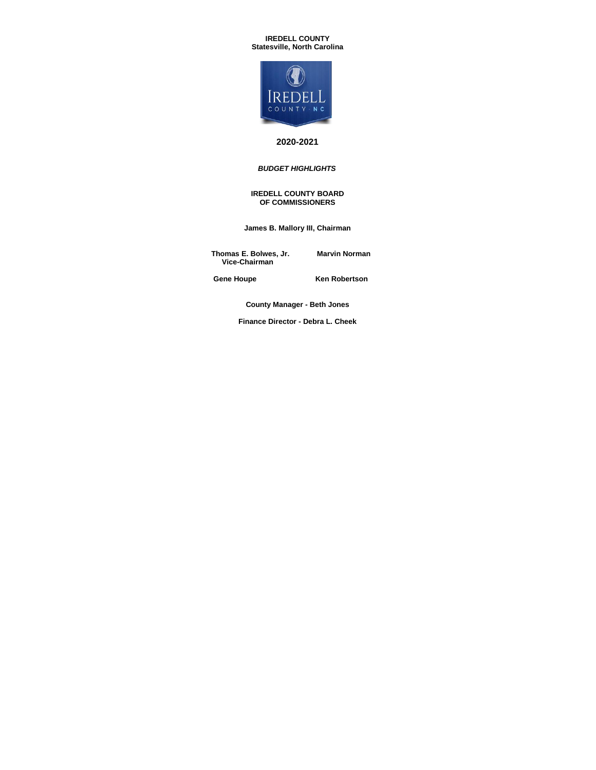#### **IREDELL COUNTY Statesville, North Carolina**



## **2020-2021**

## *BUDGET HIGHLIGHTS*

#### **IREDELL COUNTY BOARD OF COMMISSIONERS**

**James B. Mallory III, Chairman**

 **Thomas E. Bolwes, Jr. Marvin Norman Vice-Chairman**

Gene Houpe **Ken Robertson** 

**County Manager - Beth Jones**

**Finance Director - Debra L. Cheek**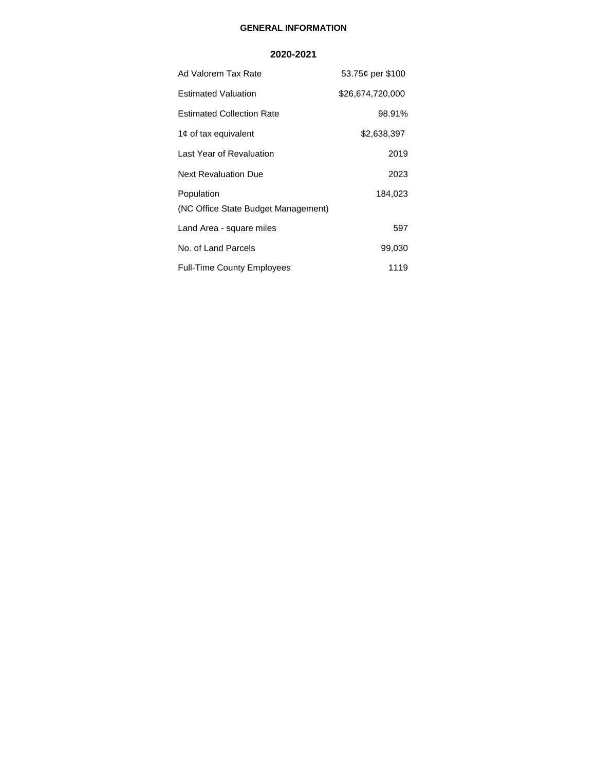# **GENERAL INFORMATION**

## **2020-2021**

| Ad Valorem Tax Rate                               | 53.75¢ per \$100 |
|---------------------------------------------------|------------------|
| <b>Estimated Valuation</b>                        | \$26,674,720,000 |
| <b>Estimated Collection Rate</b>                  | 98.91%           |
| 1¢ of tax equivalent                              | \$2,638,397      |
| Last Year of Revaluation                          | 2019             |
| <b>Next Revaluation Due</b>                       | 2023             |
| Population<br>(NC Office State Budget Management) | 184,023          |
| Land Area - square miles                          | 597              |
| No. of Land Parcels                               | 99,030           |
| <b>Full-Time County Employees</b>                 | 1119             |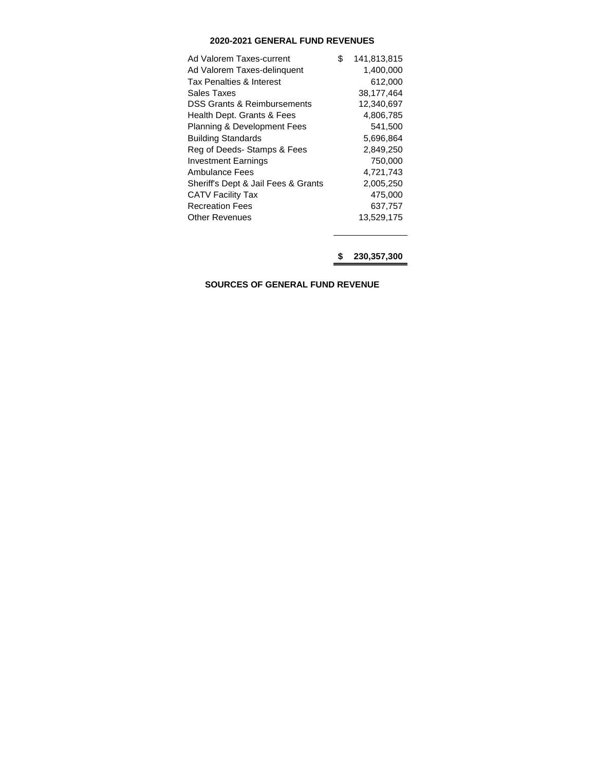# **2020-2021 GENERAL FUND REVENUES**

| Ad Valorem Taxes-current               | \$<br>141,813,815 |
|----------------------------------------|-------------------|
| Ad Valorem Taxes-delinguent            | 1,400,000         |
| Tax Penalties & Interest               | 612,000           |
| Sales Taxes                            | 38,177,464        |
| DSS Grants & Reimbursements            | 12,340,697        |
| Health Dept. Grants & Fees             | 4,806,785         |
| <b>Planning &amp; Development Fees</b> | 541,500           |
| <b>Building Standards</b>              | 5,696,864         |
| Reg of Deeds- Stamps & Fees            | 2,849,250         |
| <b>Investment Earnings</b>             | 750,000           |
| Ambulance Fees                         | 4,721,743         |
| Sheriff's Dept & Jail Fees & Grants    | 2,005,250         |
| <b>CATV Facility Tax</b>               | 475,000           |
| <b>Recreation Fees</b>                 | 637,757           |
| <b>Other Revenues</b>                  | 13,529,175        |
|                                        |                   |

**\$ 230,357,300**

**SOURCES OF GENERAL FUND REVENUE**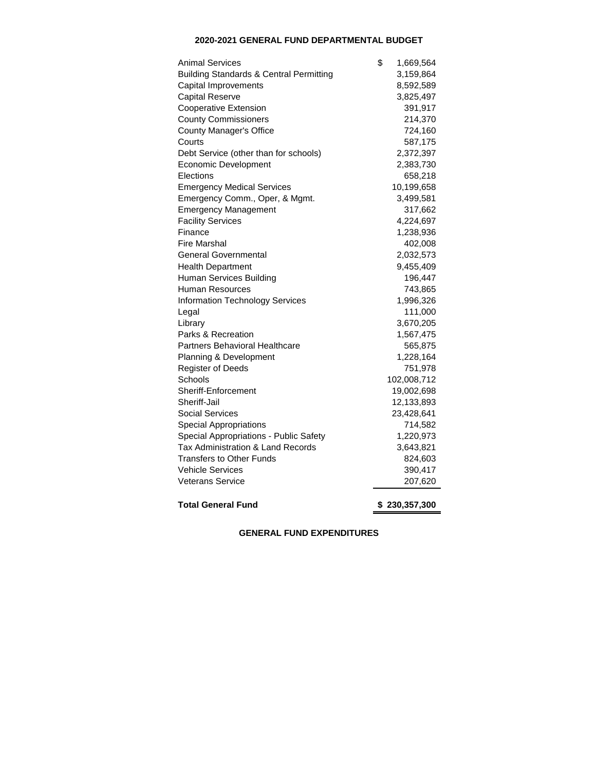# **2020-2021 GENERAL FUND DEPARTMENTAL BUDGET**

| Animal Services                                    | \$<br>1,669,564 |
|----------------------------------------------------|-----------------|
| <b>Building Standards &amp; Central Permitting</b> | 3,159,864       |
| Capital Improvements                               | 8,592,589       |
| <b>Capital Reserve</b>                             | 3,825,497       |
| <b>Cooperative Extension</b>                       | 391,917         |
| <b>County Commissioners</b>                        | 214,370         |
| County Manager's Office                            | 724,160         |
| Courts                                             | 587,175         |
| Debt Service (other than for schools)              | 2,372,397       |
| Economic Development                               | 2,383,730       |
| Elections                                          | 658,218         |
| <b>Emergency Medical Services</b>                  | 10,199,658      |
| Emergency Comm., Oper, & Mgmt.                     | 3,499,581       |
| <b>Emergency Management</b>                        | 317,662         |
| <b>Facility Services</b>                           | 4,224,697       |
| Finance                                            | 1,238,936       |
| Fire Marshal                                       | 402,008         |
| <b>General Governmental</b>                        | 2,032,573       |
| <b>Health Department</b>                           | 9,455,409       |
| Human Services Building                            | 196,447         |
| Human Resources                                    | 743,865         |
| <b>Information Technology Services</b>             | 1,996,326       |
| Legal                                              | 111,000         |
| Library                                            | 3,670,205       |
| Parks & Recreation                                 | 1,567,475       |
| Partners Behavioral Healthcare                     | 565,875         |
| Planning & Development                             | 1,228,164       |
| <b>Register of Deeds</b>                           | 751,978         |
| Schools                                            | 102,008,712     |
| Sheriff-Enforcement                                | 19,002,698      |
| Sheriff-Jail                                       | 12,133,893      |
| <b>Social Services</b>                             | 23,428,641      |
| <b>Special Appropriations</b>                      | 714,582         |
| Special Appropriations - Public Safety             | 1,220,973       |
| Tax Administration & Land Records                  | 3,643,821       |
| Transfers to Other Funds                           | 824,603         |
| Vehicle Services                                   | 390,417         |
| <b>Veterans Service</b>                            | 207,620         |
| <b>Total General Fund</b>                          | \$230,357,300   |

**GENERAL FUND EXPENDITURES**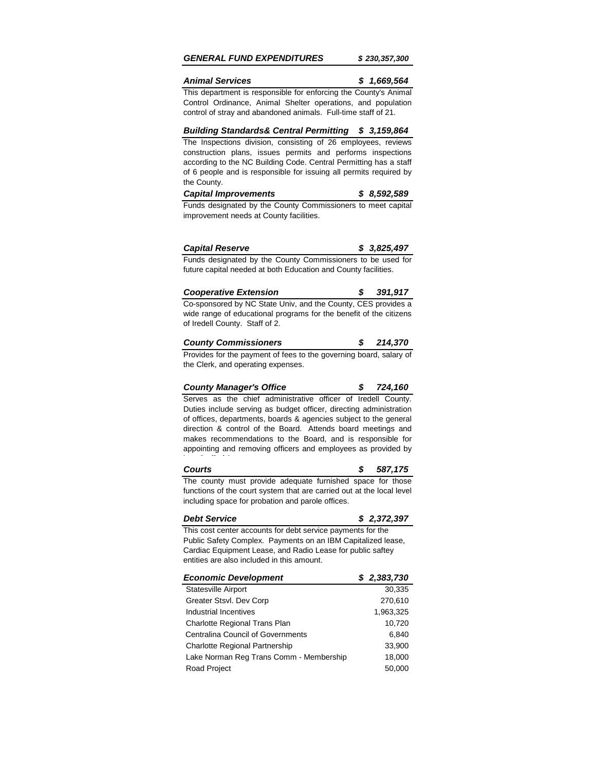## *GENERAL FUND EXPENDITURES \$ 230,357,300*

## *Animal Services \$ 1,669,564*

This department is responsible for enforcing the County's Animal Control Ordinance, Animal Shelter operations, and population control of stray and abandoned animals. Full-time staff of 21.

### *Building Standards& Central Permitting \$ 3,159,864*

The Inspections division, consisting of 26 employees, reviews construction plans, issues permits and performs inspections according to the NC Building Code. Central Permitting has a staff of 6 people and is responsible for issuing all permits required by the County.

| <b>Capital Improvements</b> | \$8,592,589 |
|-----------------------------|-------------|
|-----------------------------|-------------|

Funds designated by the County Commissioners to meet capital improvement needs at County facilities.

| <b>Capital Reserve</b> | \$3,825,497 |  |
|------------------------|-------------|--|
|------------------------|-------------|--|

Funds designated by the County Commissioners to be used for future capital needed at both Education and County facilities.

| <b>Cooperative Extension</b>                                  | 391.917 |
|---------------------------------------------------------------|---------|
| Co-sponsored by NC State Univ, and the County, CES provides a |         |

wide range of educational programs for the benefit of the citizens of Iredell County. Staff of 2.

| <b>County Commissioners</b> |  | 214,370 |
|-----------------------------|--|---------|
|-----------------------------|--|---------|

Provides for the payment of fees to the governing board, salary of the Clerk, and operating expenses.

#### *County Manager's Office \$ 724,160*

Serves as the chief administrative officer of Iredell County. Duties include serving as budget officer, directing administration of offices, departments, boards & agencies subject to the general direction & control of the Board. Attends board meetings and makes recommendations to the Board, and is responsible for appointing and removing officers and employees as provided by law. Staff of 3.

## *Courts \$ 587,175*

The county must provide adequate furnished space for those functions of the court system that are carried out at the local level including space for probation and parole offices.

### *Debt Service \$ 2,372,397*

This cost center accounts for debt service payments for the Public Safety Complex. Payments on an IBM Capitalized lease, Cardiac Equipment Lease, and Radio Lease for public saftey entities are also included in this amount.

| <b>Economic Development</b>              | \$2,383,730 |
|------------------------------------------|-------------|
| Statesville Airport                      | 30,335      |
| Greater Stsvl. Dev Corp                  | 270,610     |
| Industrial Incentives                    | 1,963,325   |
| Charlotte Regional Trans Plan            | 10,720      |
| <b>Centralina Council of Governments</b> | 6.840       |
| <b>Charlotte Regional Partnership</b>    | 33,900      |
| Lake Norman Reg Trans Comm - Membership  | 18,000      |
| <b>Road Project</b>                      | 50,000      |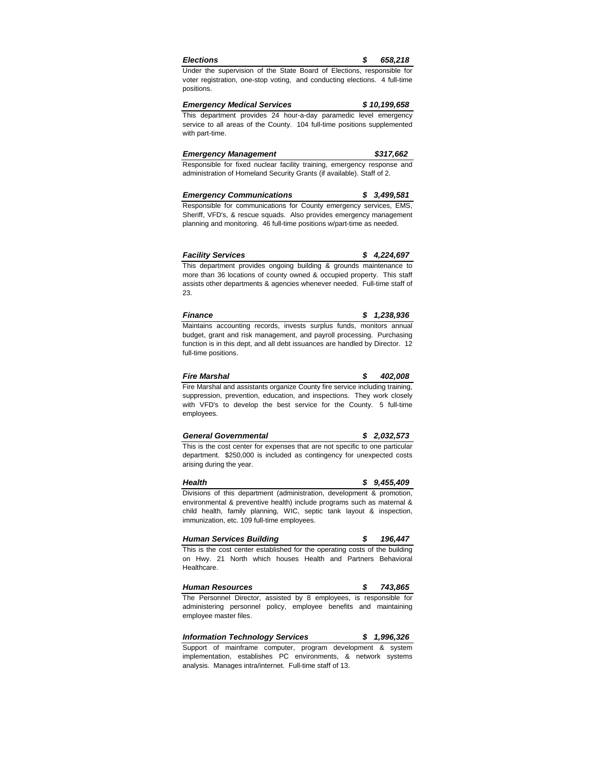| <b>Election</b> |  |
|-----------------|--|
|                 |  |
|                 |  |

*Elections \$ 658,218*

Under the supervision of the State Board of Elections, responsible for voter registration, one-stop voting, and conducting elections. 4 full-time positions.

*Emergency Medical Services \$ 10,199,658* This department provides 24 hour-a-day paramedic level emergency service to all areas of the County. 104 full-time positions supplemented with part-time.

| <b>Emergency Management</b>                                             |  |  | \$317,662 |  |  |  |
|-------------------------------------------------------------------------|--|--|-----------|--|--|--|
| Responsible for fixed nuclear facility training, emergency response and |  |  |           |  |  |  |

administration of Homeland Security Grants (if available). Staff of 2.

| <b>Emergency Communications</b>                                   |  | \$3,499,581 |  |
|-------------------------------------------------------------------|--|-------------|--|
| Reenonsible for communications for County emergency services. EMS |  |             |  |

Responsible for communications for County emergency services, EMS, Sheriff, VFD's, & rescue squads. Also provides emergency management planning and monitoring. 46 full-time positions w/part-time as needed.

| <b>Facility Services</b> |  | \$4,224,697 |
|--------------------------|--|-------------|
|--------------------------|--|-------------|

This department provides ongoing building & grounds maintenance to more than 36 locations of county owned & occupied property. This staff assists other departments & agencies whenever needed. Full-time staff of 23.

| Finance                                                               |  | \$1,238,936 |
|-----------------------------------------------------------------------|--|-------------|
| Maintains accounting records, invests surplus funds, monitors annual  |  |             |
| budget, grant and risk management, and payroll processing. Purchasing |  |             |

budget, grant and risk management, and payroll processing. Purchasing function is in this dept, and all debt issuances are handled by Director. 12 full-time positions.

| <b>Fire Marshal</b>                                                          | s. | 402.008 |
|------------------------------------------------------------------------------|----|---------|
| Fire Marshal and assistants organize County fire service including training. |    |         |
| suppression, prevention, education, and inspections. They work closely       |    |         |
| with VFD's to develop the best service for the County. 5 full-time           |    |         |
| employees.                                                                   |    |         |

| <b>General Governmental</b> | \$2,032,573 |
|-----------------------------|-------------|
|                             |             |

This is the cost center for expenses that are not specific to one particular department. \$250,000 is included as contingency for unexpected costs arising during the year.

*Health \$ 9,455,409* Divisions of this department (administration, development & promotion, environmental & preventive health) include programs such as maternal & child health, family planning, WIC, septic tank layout & inspection, immunization, etc. 109 full-time employees.

| <b>Human Services Building</b>                                              | 196.447 |
|-----------------------------------------------------------------------------|---------|
| This is the cost center established for the operating costs of the building |         |
| on Hwy. 21 North which houses Health and Partners Behavioral                |         |
| Healthcare.                                                                 |         |

*Human Resources \$ 743,865* The Personnel Director, assisted by 8 employees, is responsible for administering personnel policy, employee benefits and maintaining employee master files.

*Information Technology Services \$ 1,996,326* Support of mainframe computer, program development & system

implementation, establishes PC environments, & network systems analysis. Manages intra/internet. Full-time staff of 13.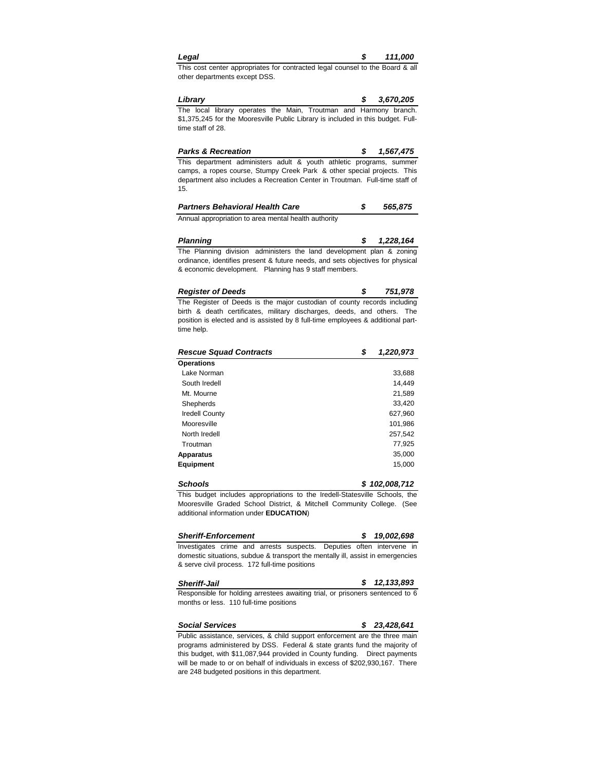| Legal | 111,000 |
|-------|---------|
|       |         |

This cost center appropriates for contracted legal counsel to the Board & all other departments except DSS.

*Library \$ 3,670,205* The local library operates the Main, Troutman and Harmony branch. \$1,375,245 for the Mooresville Public Library is included in this budget. Fulltime staff of 28.

| <b>Parks &amp; Recreation</b>                                                |  | \$ 1.567.475 |
|------------------------------------------------------------------------------|--|--------------|
| This department administers adult & youth athletic programs, summer          |  |              |
| camps, a ropes course, Stumpy Creek Park & other special projects. This      |  |              |
| department also includes a Recreation Center in Troutman. Full-time staff of |  |              |
| 15.                                                                          |  |              |

*Partners Behavioral Health Care \$ 565,875* 

Annual appropriation to area mental health authority

| Planning |  |  |                                                                                |  | 1.228.164 |
|----------|--|--|--------------------------------------------------------------------------------|--|-----------|
|          |  |  | The Planning division administers the land development plan & zoning           |  |           |
|          |  |  | ordinance, identifies present & future needs, and sets objectives for physical |  |           |

les present & future nee & economic development. Planning has 9 staff members.

| <b>Register of Deeds</b> |  |  |                                                                                       |  |  | 751.978 |
|--------------------------|--|--|---------------------------------------------------------------------------------------|--|--|---------|
|                          |  |  | The Register of Deeds is the major custodian of county records including              |  |  |         |
|                          |  |  | Botanic () → Hotanic Collection → Collection → Hotanic → Hotanic → Collection → The D |  |  |         |

birth & death certificates, military discharges, deeds, and others. The position is elected and is assisted by 8 full-time employees & additional parttime help.

| <b>Rescue Squad Contracts</b> | \$<br>1,220,973 |
|-------------------------------|-----------------|
| <b>Operations</b>             |                 |
| Lake Norman                   | 33,688          |
| South Iredell                 | 14,449          |
| Mt. Mourne                    | 21,589          |
| Shepherds                     | 33,420          |
| <b>Iredell County</b>         | 627,960         |
| Mooresville                   | 101,986         |
| North Iredell                 | 257.542         |
| Troutman                      | 77.925          |
| <b>Apparatus</b>              | 35,000          |
| <b>Equipment</b>              | 15,000          |

*Schools \$ 102,008,712* This budget includes appropriations to the Iredell-Statesville Schools, the Mooresville Graded School District, & Mitchell Community College. (See additional information under **EDUCATION**)

| <b>Sheriff-Enforcement</b>                                                      |  |  |  |  |  |  | \$19.002.698 |  |
|---------------------------------------------------------------------------------|--|--|--|--|--|--|--------------|--|
| Investigates crime and arrests suspects. Deputies often intervene in            |  |  |  |  |  |  |              |  |
| domestic situations, subdue & transport the mentally ill, assist in emergencies |  |  |  |  |  |  |              |  |
| & serve civil process. 172 full-time positions                                  |  |  |  |  |  |  |              |  |

| <b>Sheriff-Jail</b>                                                           | 12,133,893 |
|-------------------------------------------------------------------------------|------------|
| Responsible for holding arrestees awaiting trial, or prisoners sentenced to 6 |            |

months or less. 110 full-time positions

| <b>Social Services</b>                                                        | \$23.428.641 |  |
|-------------------------------------------------------------------------------|--------------|--|
| Public assistance, services, & child support enforcement are the three main   |              |  |
| programs administered by DSS. Federal & state grants fund the majority of     |              |  |
| this budget, with \$11,087,944 provided in County funding. Direct payments    |              |  |
| will be made to or on behalf of individuals in excess of \$202,930,167. There |              |  |

are 248 budgeted positions in this department.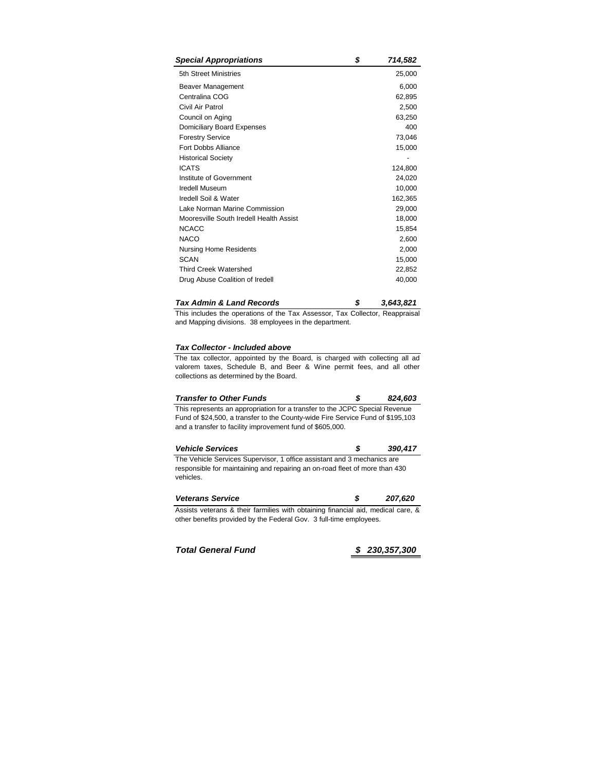| <b>Special Appropriations</b>           | \$<br>714,582 |
|-----------------------------------------|---------------|
| 5th Street Ministries                   | 25,000        |
| Beaver Management                       | 6,000         |
| Centralina COG                          | 62,895        |
| Civil Air Patrol                        | 2,500         |
| Council on Aging                        | 63,250        |
| Domiciliary Board Expenses              | 400           |
| <b>Forestry Service</b>                 | 73,046        |
| <b>Fort Dobbs Alliance</b>              | 15,000        |
| <b>Historical Society</b>               |               |
| <b>ICATS</b>                            | 124,800       |
| Institute of Government                 | 24,020        |
| <b>Iredell Museum</b>                   | 10,000        |
| Iredell Soil & Water                    | 162,365       |
| Lake Norman Marine Commission           | 29,000        |
| Mooresville South Iredell Health Assist | 18,000        |
| <b>NCACC</b>                            | 15,854        |
| <b>NACO</b>                             | 2,600         |
| <b>Nursing Home Residents</b>           | 2,000         |
| <b>SCAN</b>                             | 15,000        |
| <b>Third Creek Watershed</b>            | 22,852        |
| Drug Abuse Coalition of Iredell         | 40,000        |

## *Tax Admin & Land Records \$ 3,643,821*

This includes the operations of the Tax Assessor, Tax Collector, Reappraisal and Mapping divisions. 38 employees in the department.

# *Tax Collector - Included above*

The tax collector, appointed by the Board, is charged with collecting all ad valorem taxes, Schedule B, and Beer & Wine permit fees, and all other collections as determined by the Board.

| <b>Transfer to Other Funds</b>                                                 | -56 | 824.603 |
|--------------------------------------------------------------------------------|-----|---------|
| This represents an appropriation for a transfer to the JCPC Special Revenue    |     |         |
| Fund of \$24,500, a transfer to the County-wide Fire Service Fund of \$195,103 |     |         |
| and a transfer to facility improvement fund of \$605,000.                      |     |         |

| <b>Vehicle Services</b>                                                                  | - 55 | 390.417 |
|------------------------------------------------------------------------------------------|------|---------|
| The Vehicle Services Supervisor, 1 office assistant and 3 mechanics are                  |      |         |
| responsible for maintaining and repairing an on-road fleet of more than 430<br>vehicles. |      |         |

| <b>Veterans Service</b>                                                          |  | 207.620 |
|----------------------------------------------------------------------------------|--|---------|
| Assists veterans & their farmilies with obtaining financial aid, medical care, & |  |         |
| other benefits provided by the Federal Gov. 3 full-time employees.               |  |         |

*Total General Fund \$ 230,357,300*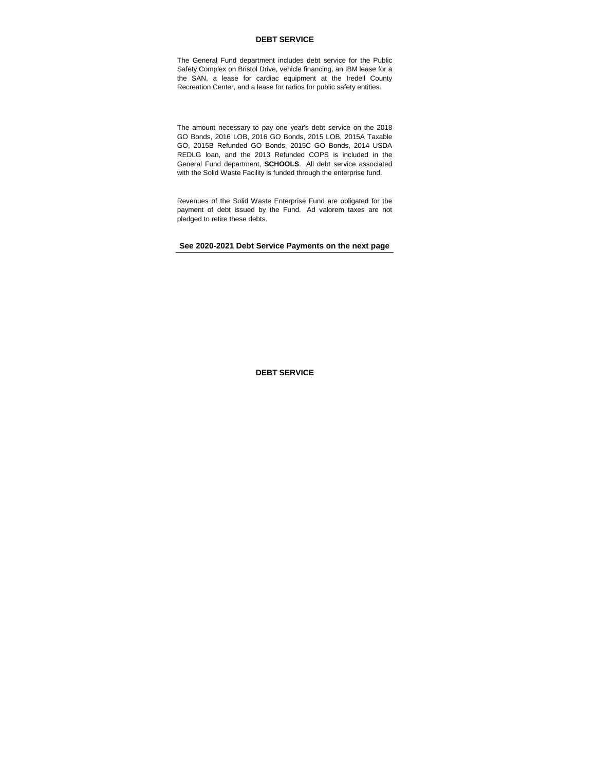## **DEBT SERVICE**

The General Fund department includes debt service for the Public Safety Complex on Bristol Drive, vehicle financing, an IBM lease for a the SAN, a lease for cardiac equipment at the Iredell County Recreation Center, and a lease for radios for public safety entities.

The amount necessary to pay one year's debt service on the 2018 GO Bonds, 2016 LOB, 2016 GO Bonds, 2015 LOB, 2015A Taxable GO, 2015B Refunded GO Bonds, 2015C GO Bonds, 2014 USDA REDLG loan, and the 2013 Refunded COPS is included in the General Fund department, **SCHOOLS**. All debt service associated with the Solid Waste Facility is funded through the enterprise fund.

Revenues of the Solid Waste Enterprise Fund are obligated for the payment of debt issued by the Fund. Ad valorem taxes are not pledged to retire these debts.

**See 2020-2021 Debt Service Payments on the next page**

**DEBT SERVICE**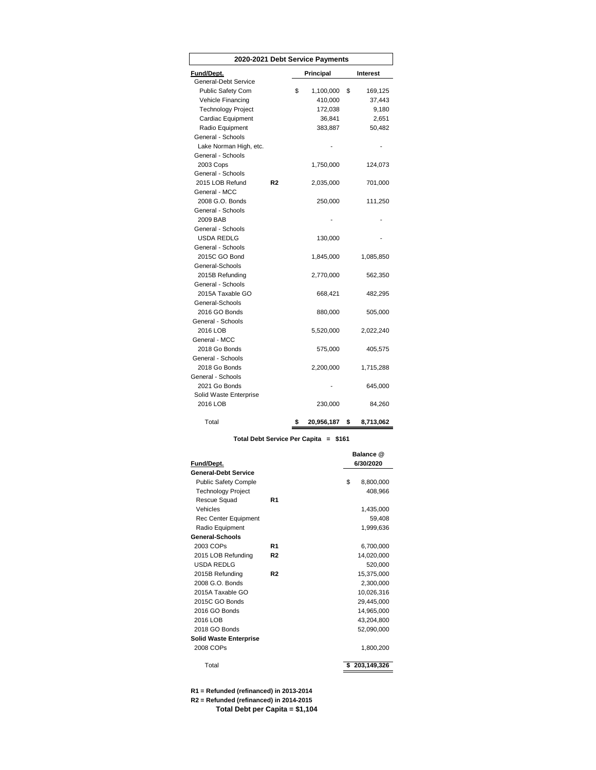| 2020-2021 Debt Service Payments |                |    |            |                 |
|---------------------------------|----------------|----|------------|-----------------|
| Fund/Dept.                      |                |    | Principal  | Interest        |
| General-Debt Service            |                |    |            |                 |
| Public Safety Com               |                | \$ | 1,100,000  | \$<br>169,125   |
| Vehicle Financing               |                |    | 410,000    | 37,443          |
| <b>Technology Project</b>       |                |    | 172,038    | 9,180           |
| Cardiac Equipment               |                |    | 36,841     | 2,651           |
| Radio Equipment                 |                |    | 383,887    | 50,482          |
| General - Schools               |                |    |            |                 |
| Lake Norman High, etc.          |                |    |            |                 |
| General - Schools               |                |    |            |                 |
| 2003 Cops                       |                |    | 1,750,000  | 124,073         |
| General - Schools               |                |    |            |                 |
| 2015 LOB Refund                 | R <sub>2</sub> |    | 2,035,000  | 701,000         |
| General - MCC                   |                |    |            |                 |
| 2008 G.O. Bonds                 |                |    | 250,000    | 111,250         |
| General - Schools               |                |    |            |                 |
| 2009 BAB                        |                |    |            |                 |
| General - Schools               |                |    |            |                 |
| USDA REDLG                      |                |    | 130,000    |                 |
| General - Schools               |                |    |            |                 |
| 2015C GO Bond                   |                |    | 1,845,000  | 1,085,850       |
| General-Schools                 |                |    |            |                 |
| 2015B Refunding                 |                |    | 2,770,000  | 562,350         |
| General - Schools               |                |    |            |                 |
| 2015A Taxable GO                |                |    | 668,421    | 482,295         |
| General-Schools                 |                |    |            |                 |
| 2016 GO Bonds                   |                |    | 880,000    | 505,000         |
| General - Schools               |                |    |            |                 |
| 2016 LOB                        |                |    | 5,520,000  | 2,022,240       |
| General - MCC                   |                |    |            |                 |
| 2018 Go Bonds                   |                |    | 575,000    | 405,575         |
| General - Schools               |                |    |            |                 |
| 2018 Go Bonds                   |                |    | 2,200,000  | 1,715,288       |
| General - Schools               |                |    |            |                 |
| 2021 Go Bonds                   |                |    |            | 645,000         |
| Solid Waste Enterprise          |                |    |            |                 |
| 2016 LOB                        |                |    | 230,000    | 84,260          |
| Total                           |                | \$ | 20,956,187 | \$<br>8,713,062 |

## **Total Debt Service Per Capita = \$161**

|                               |                | Balance @        |
|-------------------------------|----------------|------------------|
| Fund/Dept.                    |                | 6/30/2020        |
| <b>General-Debt Service</b>   |                |                  |
| <b>Public Safety Comple</b>   |                | \$<br>8,800,000  |
| <b>Technology Project</b>     |                | 408,966          |
| Rescue Squad                  | R <sub>1</sub> |                  |
| Vehicles                      |                | 1,435,000        |
| Rec Center Equipment          |                | 59,408           |
| Radio Equipment               |                | 1,999,636        |
| General-Schools               |                |                  |
| 2003 COPs                     | R <sub>1</sub> | 6,700,000        |
| 2015 LOB Refunding            | R <sub>2</sub> | 14,020,000       |
| USDA REDLG                    |                | 520,000          |
| 2015B Refunding               | R <sub>2</sub> | 15,375,000       |
| 2008 G.O. Bonds               |                | 2.300.000        |
| 2015A Taxable GO              |                | 10,026,316       |
| 2015C GO Bonds                |                | 29,445,000       |
| 2016 GO Bonds                 |                | 14,965,000       |
| 2016 LOB                      |                | 43,204,800       |
| 2018 GO Bonds                 |                | 52,090,000       |
| <b>Solid Waste Enterprise</b> |                |                  |
| 2008 COPs                     |                | 1,800,200        |
| Total                         |                | 203,149,326<br>s |

**R1 = Refunded (refinanced) in 2013-2014 R2 = Refunded (refinanced) in 2014-2015 Total Debt per Capita = \$1,104**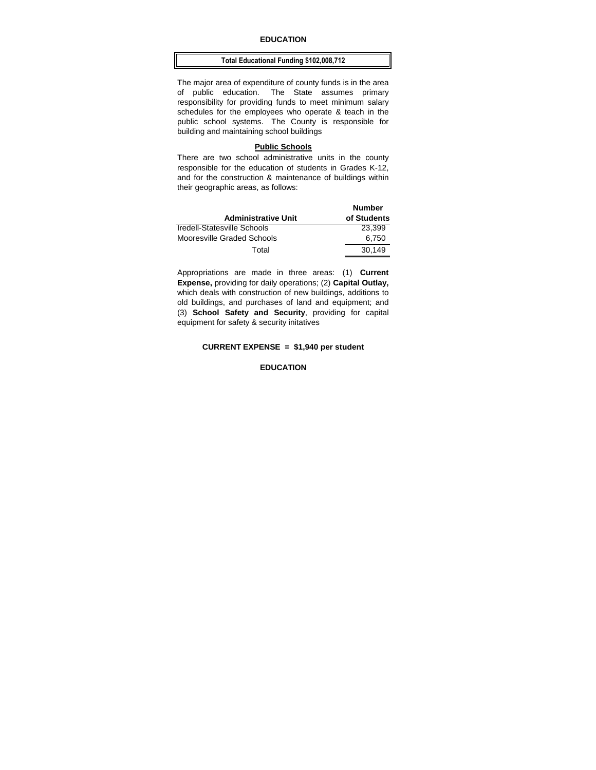### **EDUCATION**

#### **Total Educational Funding \$102,008,712**

The major area of expenditure of county funds is in the area of public education. The State assumes primary responsibility for providing funds to meet minimum salary schedules for the employees who operate & teach in the public school systems. The County is responsible for building and maintaining school buildings

#### **Public Schools**

There are two school administrative units in the county responsible for the education of students in Grades K-12, and for the construction & maintenance of buildings within their geographic areas, as follows:

| <b>Administrative Unit</b>  | <b>Number</b><br>of Students |
|-----------------------------|------------------------------|
| Iredell-Statesville Schools | 23.399                       |
| Mooresville Graded Schools  | 6,750                        |
| Total                       | 30.149                       |

Appropriations are made in three areas: (1) **Current Expense,** providing for daily operations; (2) **Capital Outlay,**  which deals with construction of new buildings, additions to old buildings, and purchases of land and equipment; and (3) **School Safety and Security**, providing for capital equipment for safety & security initatives

## **CURRENT EXPENSE = \$1,940 per student**

### **EDUCATION**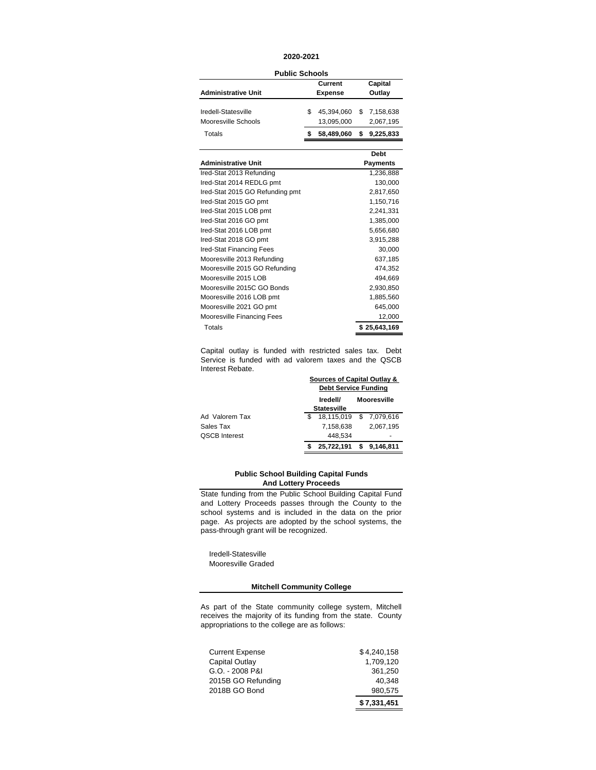### **2020-2021**

**Public Schools**

|                            | Current        |   | Capital     |
|----------------------------|----------------|---|-------------|
| <b>Administrative Unit</b> | <b>Expense</b> |   | Outlay      |
|                            |                |   |             |
| Iredell-Statesville        | 45.394.060     |   | \$7,158,638 |
| Mooresville Schools        | 13,095,000     |   | 2,067,195   |
| Totals                     | 58,489,060     | S | 9,225,833   |
|                            |                |   |             |

|                                 | Debt         |
|---------------------------------|--------------|
| <b>Administrative Unit</b>      | Payments     |
| Ired-Stat 2013 Refunding        | 1,236,888    |
| Ired-Stat 2014 REDLG pmt        | 130,000      |
| Ired-Stat 2015 GO Refunding pmt | 2,817,650    |
| Ired-Stat 2015 GO pmt           | 1,150,716    |
| Ired-Stat 2015 LOB pmt          | 2,241,331    |
| Ired-Stat 2016 GO pmt           | 1,385,000    |
| Ired-Stat 2016 LOB pmt          | 5,656,680    |
| Ired-Stat 2018 GO pmt           | 3,915,288    |
| Ired-Stat Financing Fees        | 30,000       |
| Mooresville 2013 Refunding      | 637,185      |
| Mooresville 2015 GO Refunding   | 474,352      |
| Mooresville 2015 LOB            | 494,669      |
| Mooresville 2015C GO Bonds      | 2,930,850    |
| Mooresville 2016 LOB pmt        | 1,885,560    |
| Mooresville 2021 GO pmt         | 645,000      |
| Mooresville Financing Fees      | 12,000       |
| Totals                          | \$25.643.169 |

Capital outlay is funded with restricted sales tax. Debt Service is funded with ad valorem taxes and the QSCB Interest Rebate. **Sources of Capital Outlay &** 

|                      | Sources of Capital Outlay &<br><b>Debt Service Funding</b> |  |             |
|----------------------|------------------------------------------------------------|--|-------------|
|                      | <b>Mooresville</b><br>Iredell/                             |  |             |
|                      | <b>Statesville</b>                                         |  |             |
| Ad Valorem Tax       | 18,115,019 \$ 7,079,616                                    |  |             |
| Sales Tax            | 7.158.638                                                  |  | 2,067,195   |
| <b>QSCB Interest</b> | 448.534                                                    |  |             |
|                      | 25,722,191                                                 |  | \$9.146.811 |

#### **And Lottery Proceeds Public School Building Capital Funds**

State funding from the Public School Building Capital Fund and Lottery Proceeds passes through the County to the school systems and is included in the data on the prior page. As projects are adopted by the school systems, the pass-through grant will be recognized.

 Iredell-Statesville Mooresville Graded

## **Mitchell Community College**

As part of the State community college system, Mitchell receives the majority of its funding from the state. County appropriations to the college are as follows:

|                        | \$7,331,451 |
|------------------------|-------------|
| 2018B GO Bond          | 980.575     |
| 2015B GO Refunding     | 40.348      |
| G.O. - 2008 P&I        | 361,250     |
| Capital Outlay         | 1.709.120   |
| <b>Current Expense</b> | \$4,240,158 |
|                        |             |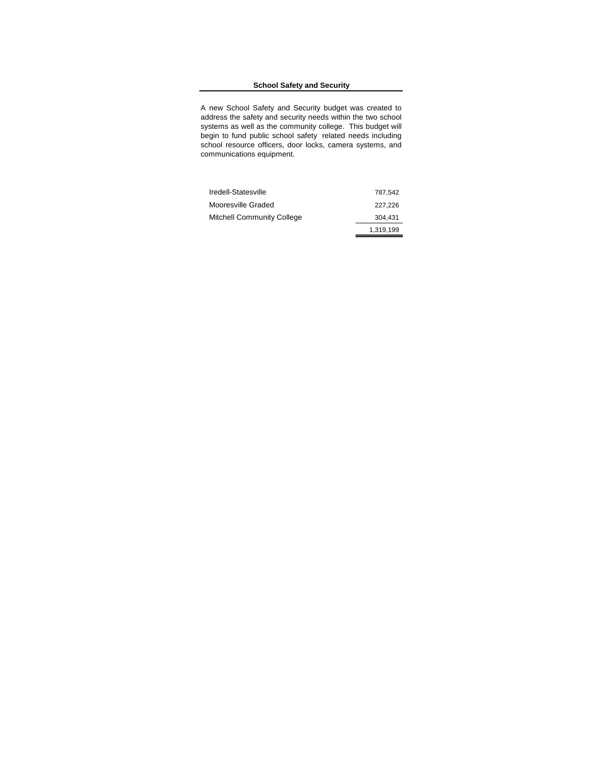## **School Safety and Security**

A new School Safety and Security budget was created to address the safety and security needs within the two school systems as well as the community college. This budget will begin to fund public school safety related needs including school resource officers, door locks, camera systems, and communications equipment.

| Iredell-Statesville               | 787.542   |
|-----------------------------------|-----------|
| Mooresville Graded                | 227.226   |
| <b>Mitchell Community College</b> | 304.431   |
|                                   | 1.319.199 |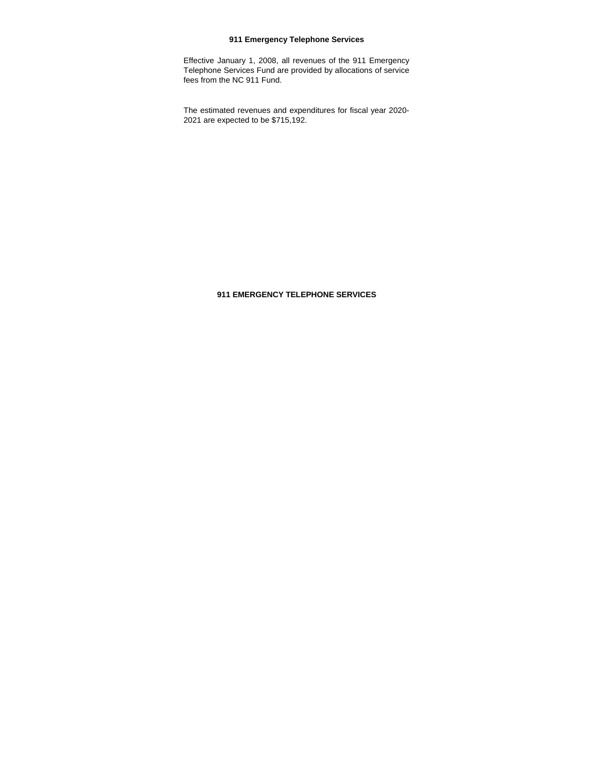## **911 Emergency Telephone Services**

Effective January 1, 2008, all revenues of the 911 Emergency Telephone Services Fund are provided by allocations of service fees from the NC 911 Fund.

The estimated revenues and expenditures for fiscal year 2020- 2021 are expected to be \$715,192.

## **911 EMERGENCY TELEPHONE SERVICES**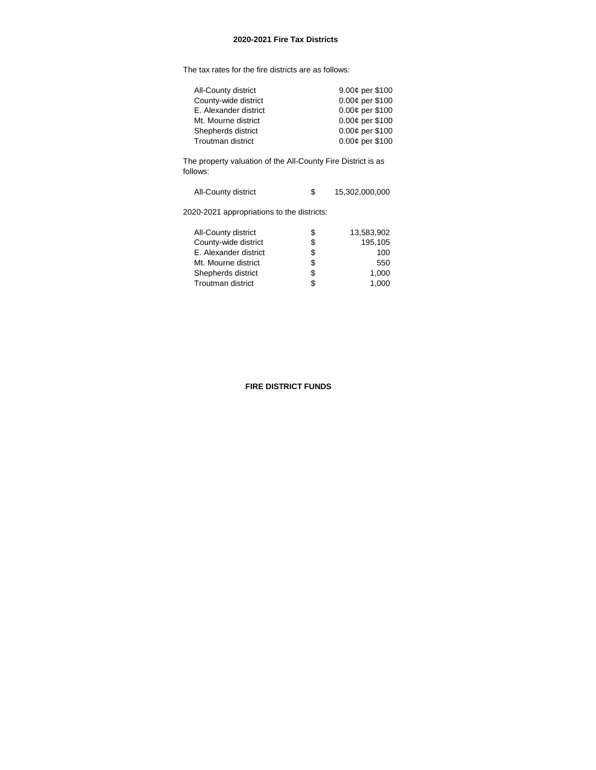## **2020-2021 Fire Tax Districts**

The tax rates for the fire districts are as follows:

| All-County district      | 9.00¢ per \$100 |
|--------------------------|-----------------|
| County-wide district     | 0.00¢ per \$100 |
| E. Alexander district    | 0.00¢ per \$100 |
| Mt. Mourne district      | 0.00¢ per \$100 |
| Shepherds district       | 0.00¢ per \$100 |
| <b>Troutman district</b> | 0.00¢ per \$100 |
|                          |                 |

The property valuation of the All-County Fire District is as follows:

| All-County district |  | 15,302,000,000 |
|---------------------|--|----------------|
|---------------------|--|----------------|

2020-2021 appropriations to the districts:

| All-County district   | S  | 13.583.902 |
|-----------------------|----|------------|
| County-wide district  | \$ | 195,105    |
| E. Alexander district | \$ | 100        |
| Mt. Mourne district   | S  | 550        |
| Shepherds district    | S  | 1.000      |
| Troutman district     | S  | 1.000      |
|                       |    |            |

## **FIRE DISTRICT FUNDS**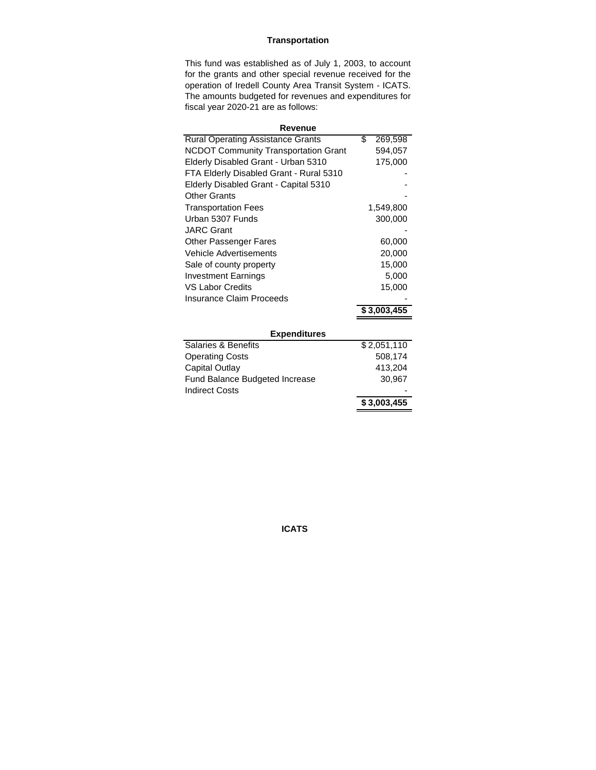# **Transportation**

This fund was established as of July 1, 2003, to account for the grants and other special revenue received for the operation of Iredell County Area Transit System - ICATS. The amounts budgeted for revenues and expenditures for fiscal year 2020-21 are as follows:

| Revenue                                     |               |  |  |  |
|---------------------------------------------|---------------|--|--|--|
| <b>Rural Operating Assistance Grants</b>    | \$<br>269,598 |  |  |  |
| <b>NCDOT Community Transportation Grant</b> | 594,057       |  |  |  |
| Elderly Disabled Grant - Urban 5310         | 175,000       |  |  |  |
| FTA Elderly Disabled Grant - Rural 5310     |               |  |  |  |
| Elderly Disabled Grant - Capital 5310       |               |  |  |  |
| <b>Other Grants</b>                         |               |  |  |  |
| <b>Transportation Fees</b>                  | 1,549,800     |  |  |  |
| Urban 5307 Funds                            | 300,000       |  |  |  |
| <b>JARC Grant</b>                           |               |  |  |  |
| <b>Other Passenger Fares</b>                | 60,000        |  |  |  |
| Vehicle Advertisements                      | 20,000        |  |  |  |
| Sale of county property                     | 15,000        |  |  |  |
| <b>Investment Earnings</b>                  | 5,000         |  |  |  |
| <b>VS Labor Credits</b>                     | 15,000        |  |  |  |
| Insurance Claim Proceeds                    |               |  |  |  |
|                                             | \$3,003,455   |  |  |  |
|                                             |               |  |  |  |
| <b>Expenditures</b>                         |               |  |  |  |
| <b>Salaries &amp; Benefits</b>              | \$2,051,110   |  |  |  |
| <b>Operating Costs</b>                      | 508,174       |  |  |  |
| Capital Outlay                              | 413,204       |  |  |  |
| <b>Fund Balance Budgeted Increase</b>       | 30,967        |  |  |  |
| <b>Indirect Costs</b>                       |               |  |  |  |
|                                             | \$3,003,455   |  |  |  |

**ICATS**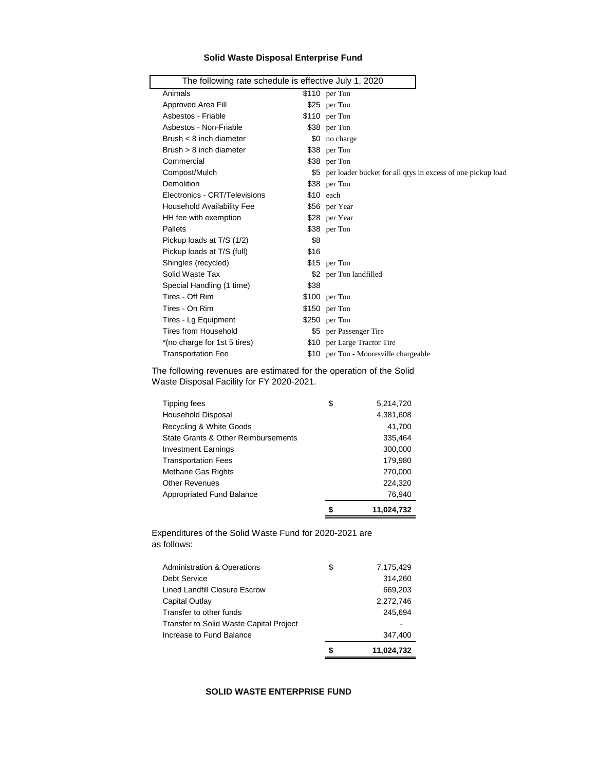## **Solid Waste Disposal Enterprise Fund**

| The following rate schedule is effective July 1, 2020 |      |                                                                 |
|-------------------------------------------------------|------|-----------------------------------------------------------------|
| Animals                                               |      | $$110$ per Ton                                                  |
| Approved Area Fill                                    |      | \$25 per Ton                                                    |
| Asbestos - Friable                                    |      | \$110 per Ton                                                   |
| Asbestos - Non-Friable                                |      | \$38 per Ton                                                    |
| Brush $<$ 8 inch diameter                             |      | \$0 no charge                                                   |
| Brush $> 8$ inch diameter                             |      | \$38 per Ton                                                    |
| Commercial                                            |      | \$38 per Ton                                                    |
| Compost/Mulch                                         |      | \$5 per loader bucket for all qtys in excess of one pickup load |
| Demolition                                            |      | \$38 per Ton                                                    |
| Electronics - CRT/Televisions                         |      | $$10$ each                                                      |
| <b>Household Availability Fee</b>                     |      | \$56 per Year                                                   |
| HH fee with exemption                                 |      | \$28 per Year                                                   |
| Pallets                                               |      | \$38 per Ton                                                    |
| Pickup loads at T/S (1/2)                             | \$8  |                                                                 |
| Pickup loads at T/S (full)                            | \$16 |                                                                 |
| Shingles (recycled)                                   |      | \$15 per Ton                                                    |
| Solid Waste Tax                                       |      | \$2 per Ton landfilled                                          |
| Special Handling (1 time)                             | \$38 |                                                                 |
| Tires - Off Rim                                       |      | \$100 per Ton                                                   |
| Tires - On Rim                                        |      | $$150$ per Ton                                                  |
| Tires - Lg Equipment                                  |      | $$250$ per Ton                                                  |
| <b>Tires from Household</b>                           |      | \$5 per Passenger Tire                                          |
| *(no charge for 1st 5 tires)                          |      | \$10 per Large Tractor Tire                                     |
| <b>Transportation Fee</b>                             |      | \$10 per Ton - Mooresville chargeable                           |
|                                                       |      |                                                                 |

The following revenues are estimated for the operation of the Solid Waste Disposal Facility for FY 2020-2021.

| Appropriated Fund Balance           | 76,940          |
|-------------------------------------|-----------------|
| <b>Other Revenues</b>               | 224,320         |
| Methane Gas Rights                  | 270,000         |
| <b>Transportation Fees</b>          | 179,980         |
| <b>Investment Earnings</b>          | 300,000         |
| State Grants & Other Reimbursements | 335,464         |
| Recycling & White Goods             | 41,700          |
| Household Disposal                  | 4,381,608       |
| Tipping fees                        | \$<br>5,214,720 |

Expenditures of the Solid Waste Fund for 2020-2021 are as follows:

|                                                | S  | 11,024,732 |
|------------------------------------------------|----|------------|
| Increase to Fund Balance                       |    | 347.400    |
| <b>Transfer to Solid Waste Capital Project</b> |    |            |
| Transfer to other funds                        |    | 245,694    |
| Capital Outlay                                 |    | 2,272,746  |
| Lined Landfill Closure Escrow                  |    | 669,203    |
| Debt Service                                   |    | 314,260    |
| <b>Administration &amp; Operations</b>         | \$ | 7,175,429  |

# **SOLID WASTE ENTERPRISE FUND**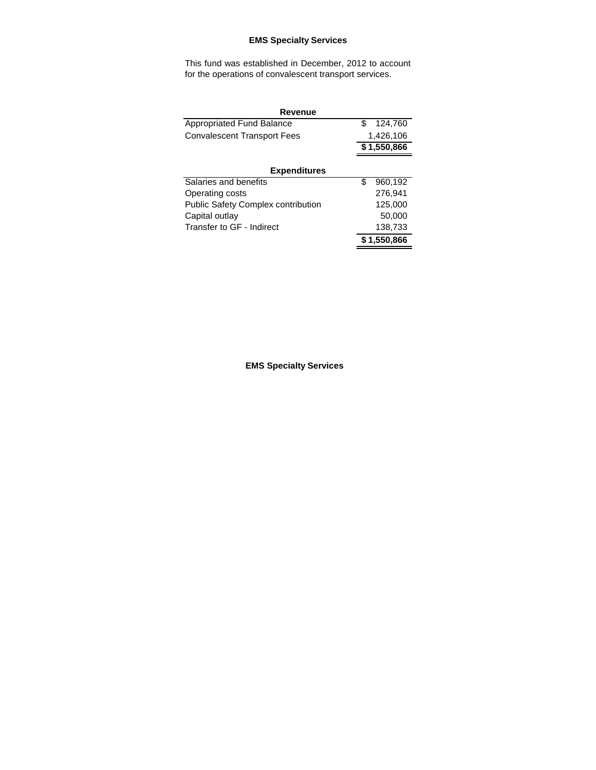# **EMS Specialty Services**

This fund was established in December, 2012 to account for the operations of convalescent transport services.

| <b>Revenue</b>                            |    |                       |  |  |
|-------------------------------------------|----|-----------------------|--|--|
| <b>Appropriated Fund Balance</b>          | \$ | 124,760               |  |  |
| <b>Convalescent Transport Fees</b>        |    | 1,426,106             |  |  |
|                                           |    | \$1,550,866           |  |  |
|                                           |    |                       |  |  |
| <b>Expenditures</b>                       |    |                       |  |  |
| Salaries and benefits                     | \$ | $\overline{960,}$ 192 |  |  |
| Operating costs                           |    | 276,941               |  |  |
| <b>Public Safety Complex contribution</b> |    | 125,000               |  |  |
| Capital outlay                            |    | 50,000                |  |  |
| Transfer to GF - Indirect                 |    | 138,733               |  |  |
|                                           |    | \$1,550,866           |  |  |
|                                           |    |                       |  |  |

**EMS Specialty Services**